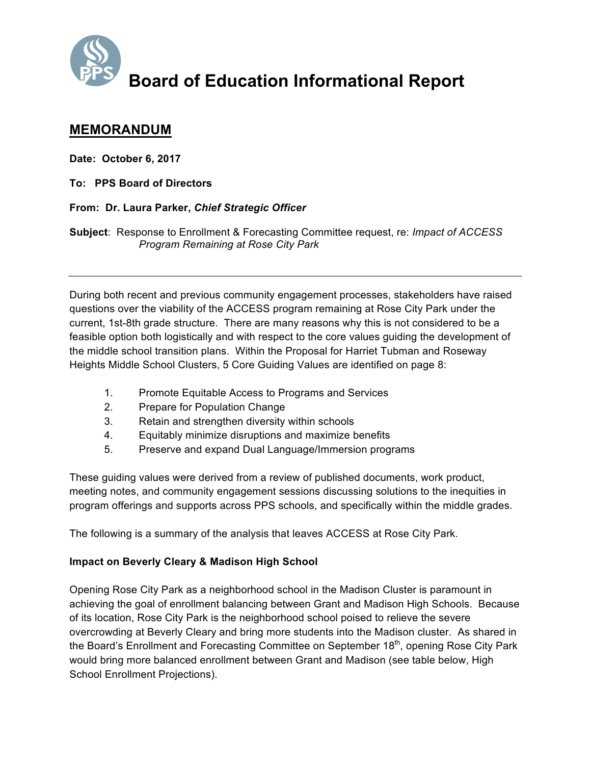

# **Board of Education Informational Report**

## **MEMORANDUM**

**Date: October 6, 2017**

**To: PPS Board of Directors**

### **From: Dr. Laura Parker,** *Chief Strategic Officer*

**Subject**: Response to Enrollment & Forecasting Committee request, re: *Impact of ACCESS Program Remaining at Rose City Park*

During both recent and previous community engagement processes, stakeholders have raised questions over the viability of the ACCESS program remaining at Rose City Park under the current, 1st-8th grade structure. There are many reasons why this is not considered to be a feasible option both logistically and with respect to the core values guiding the development of the middle school transition plans. Within the Proposal for Harriet Tubman and Roseway Heights Middle School Clusters, 5 Core Guiding Values are identified on page 8:

- 1. Promote Equitable Access to Programs and Services
- 2. Prepare for Population Change
- 3. Retain and strengthen diversity within schools
- 4. Equitably minimize disruptions and maximize benefits
- 5. Preserve and expand Dual Language/Immersion programs

These guiding values were derived from a review of published documents, work product, meeting notes, and community engagement sessions discussing solutions to the inequities in program offerings and supports across PPS schools, and specifically within the middle grades.

The following is a summary of the analysis that leaves ACCESS at Rose City Park.

## **Impact on Beverly Cleary & Madison High School**

Opening Rose City Park as a neighborhood school in the Madison Cluster is paramount in achieving the goal of enrollment balancing between Grant and Madison High Schools. Because of its location, Rose City Park is the neighborhood school poised to relieve the severe overcrowding at Beverly Cleary and bring more students into the Madison cluster. As shared in the Board's Enrollment and Forecasting Committee on September 18<sup>th</sup>, opening Rose City Park would bring more balanced enrollment between Grant and Madison (see table below, High School Enrollment Projections).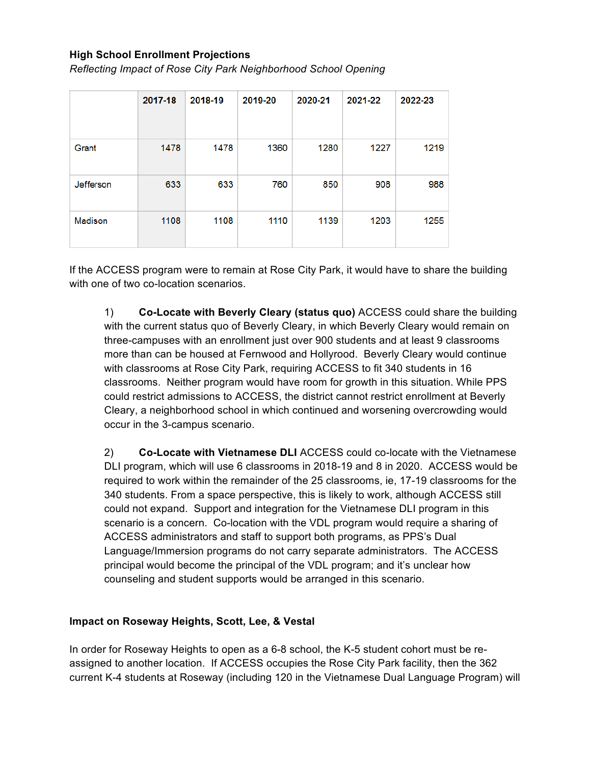#### **High School Enrollment Projections**

*Reflecting Impact of Rose City Park Neighborhood School Opening*

|           | 2017-18 | 2018-19 | 2019-20 | 2020-21 | 2021-22 | 2022-23 |
|-----------|---------|---------|---------|---------|---------|---------|
|           |         |         |         |         |         |         |
| Grant     | 1478    | 1478    | 1360    | 1280    | 1227    | 1219    |
| Jefferson | 633     | 633     | 760     | 850     | 908     | 988     |
| Madison   | 1108    | 1108    | 1110    | 1139    | 1203    | 1255    |

If the ACCESS program were to remain at Rose City Park, it would have to share the building with one of two co-location scenarios.

1) **Co-Locate with Beverly Cleary (status quo)** ACCESS could share the building with the current status quo of Beverly Cleary, in which Beverly Cleary would remain on three-campuses with an enrollment just over 900 students and at least 9 classrooms more than can be housed at Fernwood and Hollyrood. Beverly Cleary would continue with classrooms at Rose City Park, requiring ACCESS to fit 340 students in 16 classrooms. Neither program would have room for growth in this situation. While PPS could restrict admissions to ACCESS, the district cannot restrict enrollment at Beverly Cleary, a neighborhood school in which continued and worsening overcrowding would occur in the 3-campus scenario.

2) **Co-Locate with Vietnamese DLI** ACCESS could co-locate with the Vietnamese DLI program, which will use 6 classrooms in 2018-19 and 8 in 2020. ACCESS would be required to work within the remainder of the 25 classrooms, ie, 17-19 classrooms for the 340 students. From a space perspective, this is likely to work, although ACCESS still could not expand. Support and integration for the Vietnamese DLI program in this scenario is a concern. Co-location with the VDL program would require a sharing of ACCESS administrators and staff to support both programs, as PPS's Dual Language/Immersion programs do not carry separate administrators. The ACCESS principal would become the principal of the VDL program; and it's unclear how counseling and student supports would be arranged in this scenario.

#### **Impact on Roseway Heights, Scott, Lee, & Vestal**

In order for Roseway Heights to open as a 6-8 school, the K-5 student cohort must be reassigned to another location. If ACCESS occupies the Rose City Park facility, then the 362 current K-4 students at Roseway (including 120 in the Vietnamese Dual Language Program) will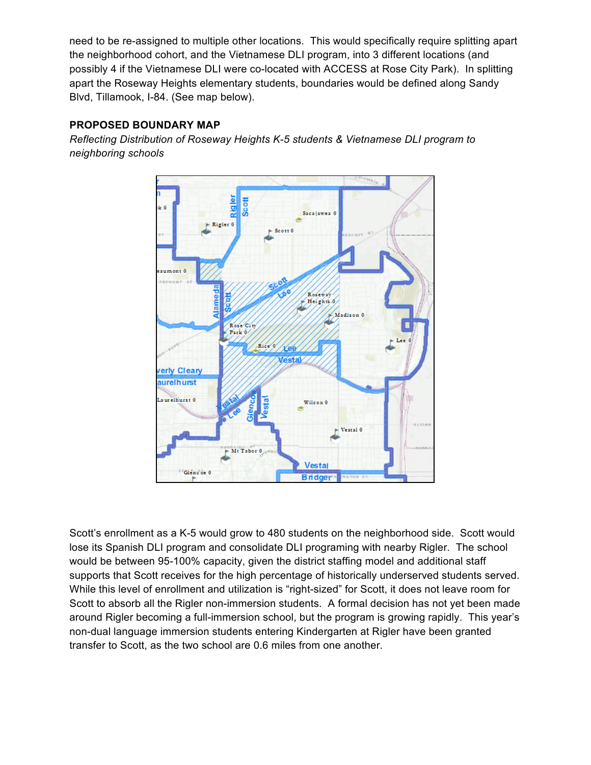need to be re-assigned to multiple other locations. This would specifically require splitting apart the neighborhood cohort, and the Vietnamese DLI program, into 3 different locations (and possibly 4 if the Vietnamese DLI were co-located with ACCESS at Rose City Park). In splitting apart the Roseway Heights elementary students, boundaries would be defined along Sandy Blvd, Tillamook, I-84. (See map below).

## **PROPOSED BOUNDARY MAP**

*Reflecting Distribution of Roseway Heights K-5 students & Vietnamese DLI program to neighboring schools*



Scott's enrollment as a K-5 would grow to 480 students on the neighborhood side. Scott would lose its Spanish DLI program and consolidate DLI programing with nearby Rigler. The school would be between 95-100% capacity, given the district staffing model and additional staff supports that Scott receives for the high percentage of historically underserved students served. While this level of enrollment and utilization is "right-sized" for Scott, it does not leave room for Scott to absorb all the Rigler non-immersion students. A formal decision has not yet been made around Rigler becoming a full-immersion school, but the program is growing rapidly. This year's non-dual language immersion students entering Kindergarten at Rigler have been granted transfer to Scott, as the two school are 0.6 miles from one another.